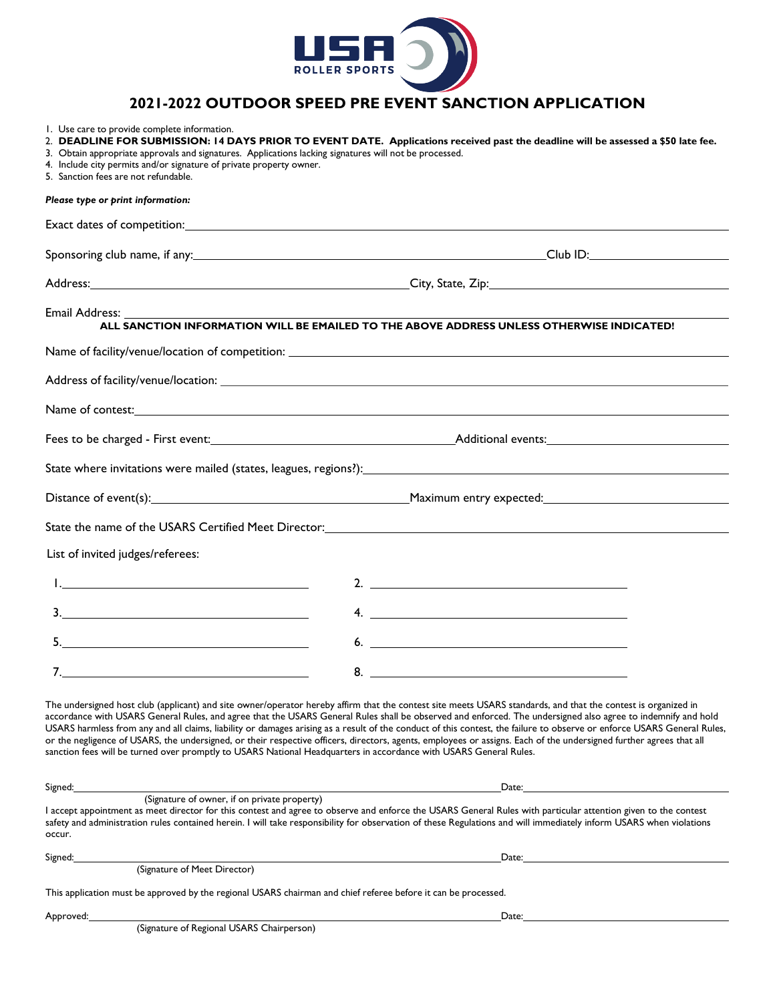

# **2021-2022 OUTDOOR SPEED PRE EVENT SANCTION APPLICATION**

1. Use care to provide complete information.

| This application must be approved by the regional USARS chairman and chief referee before it can be processed.              |                                                                                                                                                                                                                                                                                                                                                                                                                                                                                                                                                                                                                                                                                 |
|-----------------------------------------------------------------------------------------------------------------------------|---------------------------------------------------------------------------------------------------------------------------------------------------------------------------------------------------------------------------------------------------------------------------------------------------------------------------------------------------------------------------------------------------------------------------------------------------------------------------------------------------------------------------------------------------------------------------------------------------------------------------------------------------------------------------------|
| Signed:<br>(Signature of Meet Director)                                                                                     | Date:                                                                                                                                                                                                                                                                                                                                                                                                                                                                                                                                                                                                                                                                           |
| occur.                                                                                                                      | I accept appointment as meet director for this contest and agree to observe and enforce the USARS General Rules with particular attention given to the contest<br>safety and administration rules contained herein. I will take responsibility for observation of these Regulations and will immediately inform USARS when violations                                                                                                                                                                                                                                                                                                                                           |
| Signed:<br>(Signature of owner, if on private property)                                                                     | Date:<br><u> 1989 - Johann Stoff, amerikansk politiker (d. 1989)</u>                                                                                                                                                                                                                                                                                                                                                                                                                                                                                                                                                                                                            |
| sanction fees will be turned over promptly to USARS National Headquarters in accordance with USARS General Rules.           | The undersigned host club (applicant) and site owner/operator hereby affirm that the contest site meets USARS standards, and that the contest is organized in<br>accordance with USARS General Rules, and agree that the USARS General Rules shall be observed and enforced. The undersigned also agree to indemnify and hold<br>USARS harmless from any and all claims, liability or damages arising as a result of the conduct of this contest, the failure to observe or enforce USARS General Rules,<br>or the negligence of USARS, the undersigned, or their respective officers, directors, agents, employees or assigns. Each of the undersigned further agrees that all |
| 7.                                                                                                                          | $8.$ $\qquad \qquad$                                                                                                                                                                                                                                                                                                                                                                                                                                                                                                                                                                                                                                                            |
| $\begin{array}{c c c c c} \hline \textbf{5.} & \textbf{0.} & \textbf{0.} & \textbf{0.} & \textbf{0.} \\ \hline \end{array}$ | $6.$ $\overline{\phantom{a}}$                                                                                                                                                                                                                                                                                                                                                                                                                                                                                                                                                                                                                                                   |
| 3.                                                                                                                          | $\mathsf{4.}$ $\blacksquare$                                                                                                                                                                                                                                                                                                                                                                                                                                                                                                                                                                                                                                                    |
|                                                                                                                             | 2. $\overline{\phantom{a}}$                                                                                                                                                                                                                                                                                                                                                                                                                                                                                                                                                                                                                                                     |
| List of invited judges/referees:                                                                                            |                                                                                                                                                                                                                                                                                                                                                                                                                                                                                                                                                                                                                                                                                 |
|                                                                                                                             | State the name of the USARS Certified Meet Director: Network and the state of the state of the USARS Certified Meet Director:                                                                                                                                                                                                                                                                                                                                                                                                                                                                                                                                                   |
|                                                                                                                             |                                                                                                                                                                                                                                                                                                                                                                                                                                                                                                                                                                                                                                                                                 |
|                                                                                                                             |                                                                                                                                                                                                                                                                                                                                                                                                                                                                                                                                                                                                                                                                                 |
|                                                                                                                             |                                                                                                                                                                                                                                                                                                                                                                                                                                                                                                                                                                                                                                                                                 |
|                                                                                                                             | Name of contest: Name of contest:                                                                                                                                                                                                                                                                                                                                                                                                                                                                                                                                                                                                                                               |
|                                                                                                                             |                                                                                                                                                                                                                                                                                                                                                                                                                                                                                                                                                                                                                                                                                 |
|                                                                                                                             |                                                                                                                                                                                                                                                                                                                                                                                                                                                                                                                                                                                                                                                                                 |
|                                                                                                                             | ALL SANCTION INFORMATION WILL BE EMAILED TO THE ABOVE ADDRESS UNLESS OTHERWISE INDICATED!                                                                                                                                                                                                                                                                                                                                                                                                                                                                                                                                                                                       |
| Email Address:                                                                                                              |                                                                                                                                                                                                                                                                                                                                                                                                                                                                                                                                                                                                                                                                                 |
|                                                                                                                             |                                                                                                                                                                                                                                                                                                                                                                                                                                                                                                                                                                                                                                                                                 |
|                                                                                                                             |                                                                                                                                                                                                                                                                                                                                                                                                                                                                                                                                                                                                                                                                                 |
|                                                                                                                             |                                                                                                                                                                                                                                                                                                                                                                                                                                                                                                                                                                                                                                                                                 |
| Please type or print information:                                                                                           |                                                                                                                                                                                                                                                                                                                                                                                                                                                                                                                                                                                                                                                                                 |